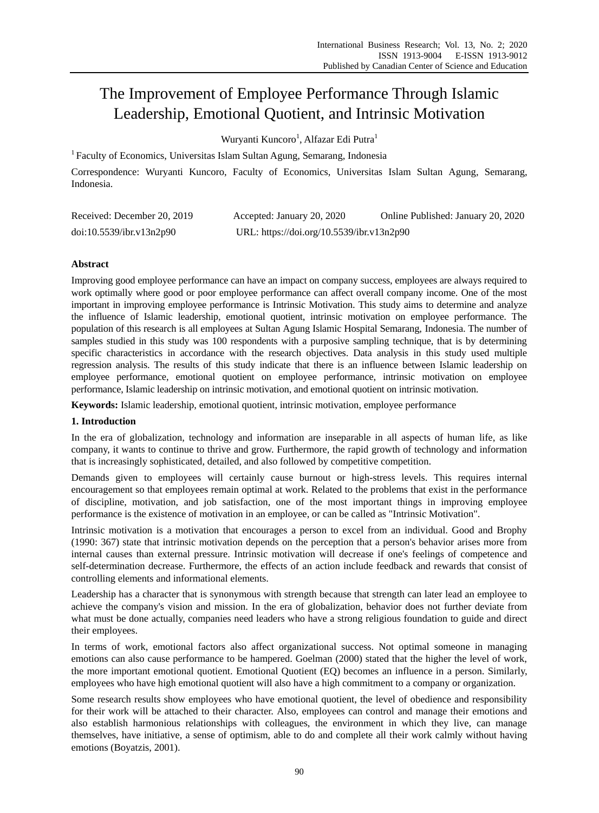# The Improvement of Employee Performance Through Islamic Leadership, Emotional Quotient, and Intrinsic Motivation

Wuryanti Kuncoro<sup>1</sup>, Alfazar Edi Putra<sup>1</sup>

<sup>1</sup> Faculty of Economics, Universitas Islam Sultan Agung, Semarang, Indonesia

Correspondence: Wuryanti Kuncoro, Faculty of Economics, Universitas Islam Sultan Agung, Semarang, Indonesia.

| Received: December 20, 2019 | Accepted: January 20, 2020                | Online Published: January 20, 2020 |
|-----------------------------|-------------------------------------------|------------------------------------|
| doi:10.5539/ibr.v13n2p90    | URL: https://doi.org/10.5539/ibr.v13n2p90 |                                    |

# **Abstract**

Improving good employee performance can have an impact on company success, employees are always required to work optimally where good or poor employee performance can affect overall company income. One of the most important in improving employee performance is Intrinsic Motivation. This study aims to determine and analyze the influence of Islamic leadership, emotional quotient, intrinsic motivation on employee performance. The population of this research is all employees at Sultan Agung Islamic Hospital Semarang, Indonesia. The number of samples studied in this study was 100 respondents with a purposive sampling technique, that is by determining specific characteristics in accordance with the research objectives. Data analysis in this study used multiple regression analysis. The results of this study indicate that there is an influence between Islamic leadership on employee performance, emotional quotient on employee performance, intrinsic motivation on employee performance, Islamic leadership on intrinsic motivation, and emotional quotient on intrinsic motivation.

**Keywords:** Islamic leadership, emotional quotient, intrinsic motivation, employee performance

# **1. Introduction**

In the era of globalization, technology and information are inseparable in all aspects of human life, as like company, it wants to continue to thrive and grow. Furthermore, the rapid growth of technology and information that is increasingly sophisticated, detailed, and also followed by competitive competition.

Demands given to employees will certainly cause burnout or high-stress levels. This requires internal encouragement so that employees remain optimal at work. Related to the problems that exist in the performance of discipline, motivation, and job satisfaction, one of the most important things in improving employee performance is the existence of motivation in an employee, or can be called as "Intrinsic Motivation".

Intrinsic motivation is a motivation that encourages a person to excel from an individual. Good and Brophy (1990: 367) state that intrinsic motivation depends on the perception that a person's behavior arises more from internal causes than external pressure. Intrinsic motivation will decrease if one's feelings of competence and self-determination decrease. Furthermore, the effects of an action include feedback and rewards that consist of controlling elements and informational elements.

Leadership has a character that is synonymous with strength because that strength can later lead an employee to achieve the company's vision and mission. In the era of globalization, behavior does not further deviate from what must be done actually, companies need leaders who have a strong religious foundation to guide and direct their employees.

In terms of work, emotional factors also affect organizational success. Not optimal someone in managing emotions can also cause performance to be hampered. Goelman (2000) stated that the higher the level of work, the more important emotional quotient. Emotional Quotient (EQ) becomes an influence in a person. Similarly, employees who have high emotional quotient will also have a high commitment to a company or organization.

Some research results show employees who have emotional quotient, the level of obedience and responsibility for their work will be attached to their character. Also, employees can control and manage their emotions and also establish harmonious relationships with colleagues, the environment in which they live, can manage themselves, have initiative, a sense of optimism, able to do and complete all their work calmly without having emotions (Boyatzis, 2001).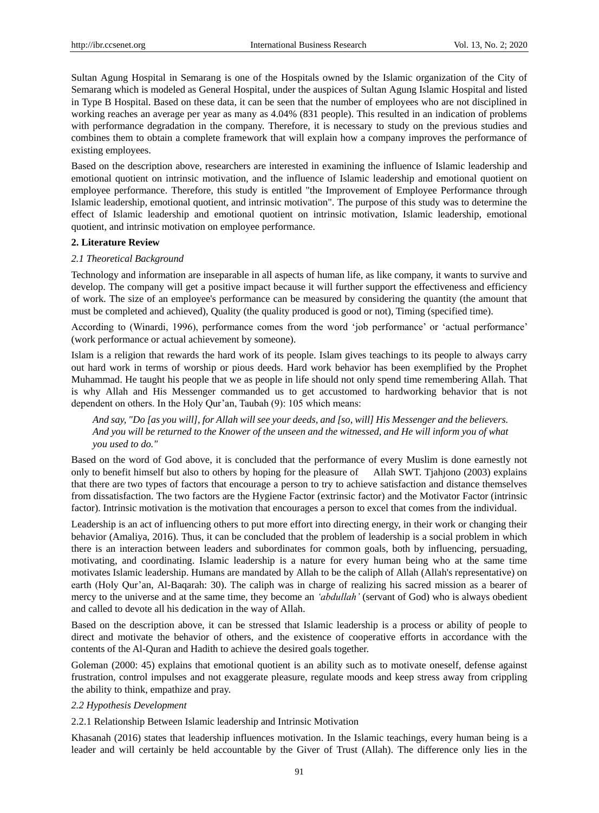Sultan Agung Hospital in Semarang is one of the Hospitals owned by the Islamic organization of the City of Semarang which is modeled as General Hospital, under the auspices of Sultan Agung Islamic Hospital and listed in Type B Hospital. Based on these data, it can be seen that the number of employees who are not disciplined in working reaches an average per year as many as 4.04% (831 people). This resulted in an indication of problems with performance degradation in the company. Therefore, it is necessary to study on the previous studies and combines them to obtain a complete framework that will explain how a company improves the performance of existing employees.

Based on the description above, researchers are interested in examining the influence of Islamic leadership and emotional quotient on intrinsic motivation, and the influence of Islamic leadership and emotional quotient on employee performance. Therefore, this study is entitled "the Improvement of Employee Performance through Islamic leadership, emotional quotient, and intrinsic motivation". The purpose of this study was to determine the effect of Islamic leadership and emotional quotient on intrinsic motivation, Islamic leadership, emotional quotient, and intrinsic motivation on employee performance.

#### **2. Literature Review**

# *2.1 Theoretical Background*

Technology and information are inseparable in all aspects of human life, as like company, it wants to survive and develop. The company will get a positive impact because it will further support the effectiveness and efficiency of work. The size of an employee's performance can be measured by considering the quantity (the amount that must be completed and achieved), Quality (the quality produced is good or not), Timing (specified time).

According to (Winardi, 1996), performance comes from the word 'job performance' or 'actual performance' (work performance or actual achievement by someone).

Islam is a religion that rewards the hard work of its people. Islam gives teachings to its people to always carry out hard work in terms of worship or pious deeds. Hard work behavior has been exemplified by the Prophet Muhammad. He taught his people that we as people in life should not only spend time remembering Allah. That is why Allah and His Messenger commanded us to get accustomed to hardworking behavior that is not dependent on others. In the Holy Qur'an, Taubah (9): 105 which means:

*And say, "Do [as you will], for Allah will see your deeds, and [so, will] His Messenger and the believers. And you will be returned to the Knower of the unseen and the witnessed, and He will inform you of what you used to do."*

Based on the word of God above, it is concluded that the performance of every Muslim is done earnestly not only to benefit himself but also to others by hoping for the pleasure of Allah SWT. Tjahjono (2003) explains that there are two types of factors that encourage a person to try to achieve satisfaction and distance themselves from dissatisfaction. The two factors are the Hygiene Factor (extrinsic factor) and the Motivator Factor (intrinsic factor). Intrinsic motivation is the motivation that encourages a person to excel that comes from the individual.

Leadership is an act of influencing others to put more effort into directing energy, in their work or changing their behavior (Amaliya, 2016). Thus, it can be concluded that the problem of leadership is a social problem in which there is an interaction between leaders and subordinates for common goals, both by influencing, persuading, motivating, and coordinating. Islamic leadership is a nature for every human being who at the same time motivates Islamic leadership. Humans are mandated by Allah to be the caliph of Allah (Allah's representative) on earth (Holy Qur'an, Al-Baqarah: 30). The caliph was in charge of realizing his sacred mission as a bearer of mercy to the universe and at the same time, they become an *'abdullah'* (servant of God) who is always obedient and called to devote all his dedication in the way of Allah.

Based on the description above, it can be stressed that Islamic leadership is a process or ability of people to direct and motivate the behavior of others, and the existence of cooperative efforts in accordance with the contents of the Al-Quran and Hadith to achieve the desired goals together.

Goleman (2000: 45) explains that emotional quotient is an ability such as to motivate oneself, defense against frustration, control impulses and not exaggerate pleasure, regulate moods and keep stress away from crippling the ability to think, empathize and pray.

#### *2.2 Hypothesis Development*

#### 2.2.1 Relationship Between Islamic leadership and Intrinsic Motivation

Khasanah (2016) states that leadership influences motivation. In the Islamic teachings, every human being is a leader and will certainly be held accountable by the Giver of Trust (Allah). The difference only lies in the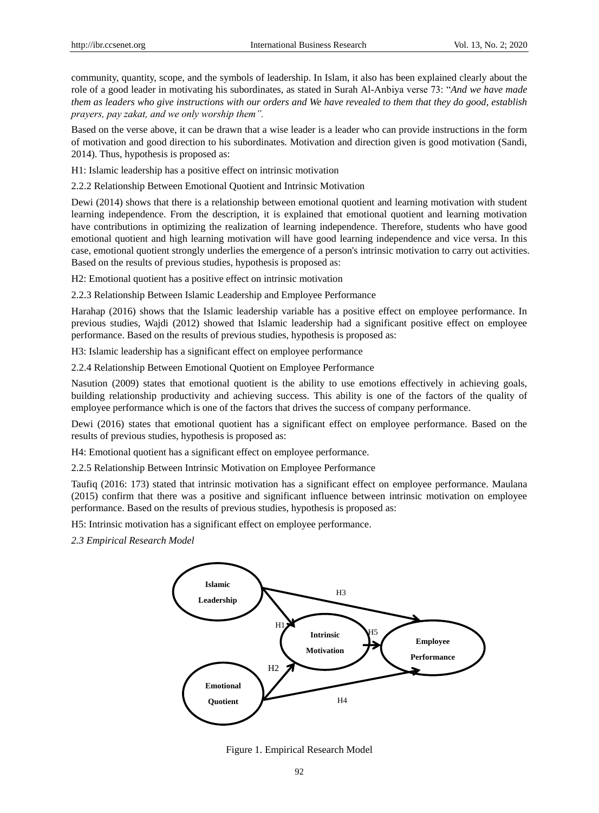community, quantity, scope, and the symbols of leadership. In Islam, it also has been explained clearly about the role of a good leader in motivating his subordinates, as stated in Surah Al-Anbiya verse 73: "*And we have made them as leaders who give instructions with our orders and We have revealed to them that they do good, establish prayers, pay zakat, and we only worship them".*

Based on the verse above, it can be drawn that a wise leader is a leader who can provide instructions in the form of motivation and good direction to his subordinates. Motivation and direction given is good motivation (Sandi, 2014). Thus, hypothesis is proposed as:

H1: Islamic leadership has a positive effect on intrinsic motivation

2.2.2 Relationship Between Emotional Quotient and Intrinsic Motivation

Dewi (2014) shows that there is a relationship between emotional quotient and learning motivation with student learning independence. From the description, it is explained that emotional quotient and learning motivation have contributions in optimizing the realization of learning independence. Therefore, students who have good emotional quotient and high learning motivation will have good learning independence and vice versa. In this case, emotional quotient strongly underlies the emergence of a person's intrinsic motivation to carry out activities. Based on the results of previous studies, hypothesis is proposed as:

H2: Emotional quotient has a positive effect on intrinsic motivation

2.2.3 Relationship Between Islamic Leadership and Employee Performance

Harahap (2016) shows that the Islamic leadership variable has a positive effect on employee performance. In previous studies, Wajdi (2012) showed that Islamic leadership had a significant positive effect on employee performance. Based on the results of previous studies, hypothesis is proposed as:

H3: Islamic leadership has a significant effect on employee performance

2.2.4 Relationship Between Emotional Quotient on Employee Performance

Nasution (2009) states that emotional quotient is the ability to use emotions effectively in achieving goals, building relationship productivity and achieving success. This ability is one of the factors of the quality of employee performance which is one of the factors that drives the success of company performance.

Dewi (2016) states that emotional quotient has a significant effect on employee performance. Based on the results of previous studies, hypothesis is proposed as:

H4: Emotional quotient has a significant effect on employee performance.

2.2.5 Relationship Between Intrinsic Motivation on Employee Performance

Taufiq (2016: 173) stated that intrinsic motivation has a significant effect on employee performance. Maulana (2015) confirm that there was a positive and significant influence between intrinsic motivation on employee performance. Based on the results of previous studies, hypothesis is proposed as:

H5: Intrinsic motivation has a significant effect on employee performance.

*2.3 Empirical Research Model*



Figure 1. Empirical Research Model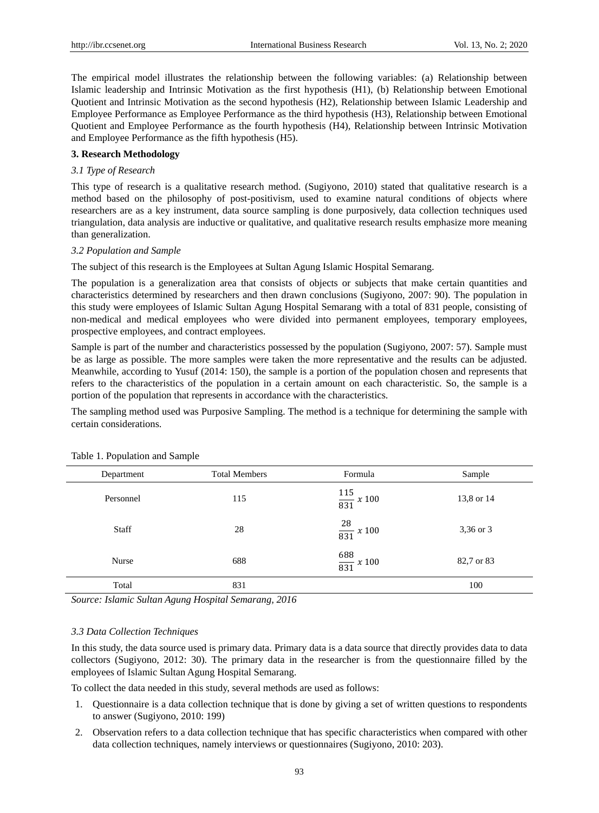The empirical model illustrates the relationship between the following variables: (a) Relationship between Islamic leadership and Intrinsic Motivation as the first hypothesis (H1), (b) Relationship between Emotional Quotient and Intrinsic Motivation as the second hypothesis (H2), Relationship between Islamic Leadership and Employee Performance as Employee Performance as the third hypothesis (H3), Relationship between Emotional Quotient and Employee Performance as the fourth hypothesis (H4), Relationship between Intrinsic Motivation and Employee Performance as the fifth hypothesis (H5).

# **3. Research Methodology**

# *3.1 Type of Research*

This type of research is a qualitative research method. (Sugiyono, 2010) stated that qualitative research is a method based on the philosophy of post-positivism, used to examine natural conditions of objects where researchers are as a key instrument, data source sampling is done purposively, data collection techniques used triangulation, data analysis are inductive or qualitative, and qualitative research results emphasize more meaning than generalization.

#### *3.2 Population and Sample*

The subject of this research is the Employees at Sultan Agung Islamic Hospital Semarang.

The population is a generalization area that consists of objects or subjects that make certain quantities and characteristics determined by researchers and then drawn conclusions (Sugiyono, 2007: 90). The population in this study were employees of Islamic Sultan Agung Hospital Semarang with a total of 831 people, consisting of non-medical and medical employees who were divided into permanent employees, temporary employees, prospective employees, and contract employees.

Sample is part of the number and characteristics possessed by the population (Sugiyono, 2007: 57). Sample must be as large as possible. The more samples were taken the more representative and the results can be adjusted. Meanwhile, according to Yusuf (2014: 150), the sample is a portion of the population chosen and represents that refers to the characteristics of the population in a certain amount on each characteristic. So, the sample is a portion of the population that represents in accordance with the characteristics.

The sampling method used was Purposive Sampling. The method is a technique for determining the sample with certain considerations.

| Department | <b>Total Members</b> | Formula                 | Sample     |
|------------|----------------------|-------------------------|------------|
| Personnel  | 115                  | $\frac{115}{831}$ x 100 | 13,8 or 14 |
| Staff      | 28                   | $\frac{28}{831}$ x 100  | 3,36 or 3  |
| Nurse      | 688                  | $\frac{688}{831}$ x 100 | 82,7 or 83 |
| Total      | 831                  |                         | 100        |

# Table 1. Population and Sample

*Source: Islamic Sultan Agung Hospital Semarang, 2016*

### *3.3 Data Collection Techniques*

In this study, the data source used is primary data. Primary data is a data source that directly provides data to data collectors (Sugiyono, 2012: 30). The primary data in the researcher is from the questionnaire filled by the employees of Islamic Sultan Agung Hospital Semarang.

To collect the data needed in this study, several methods are used as follows:

- 1. Questionnaire is a data collection technique that is done by giving a set of written questions to respondents to answer (Sugiyono, 2010: 199)
- 2. Observation refers to a data collection technique that has specific characteristics when compared with other data collection techniques, namely interviews or questionnaires (Sugiyono, 2010: 203).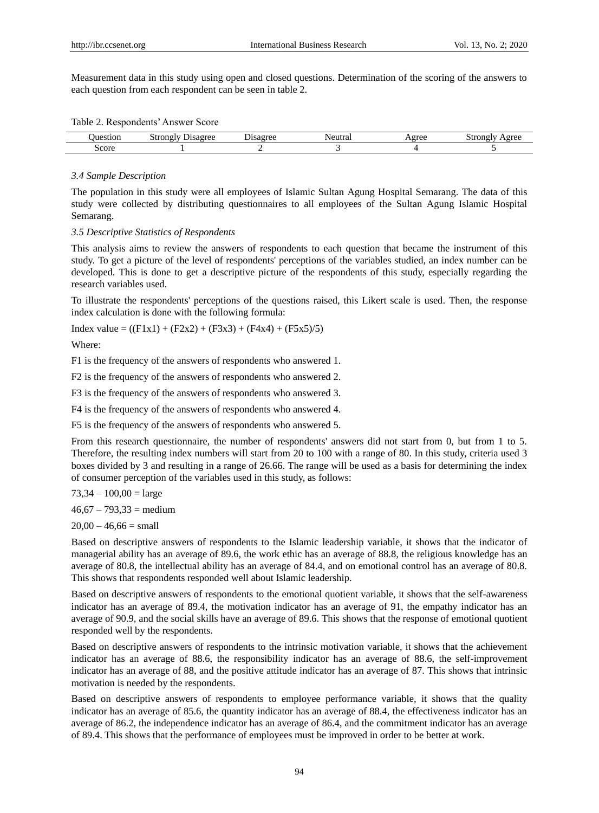Measurement data in this study using open and closed questions. Determination of the scoring of the answers to each question from each respondent can be seen in table 2.

|  |  | Table 2. Respondents' Answer Score |  |  |  |
|--|--|------------------------------------|--|--|--|
|--|--|------------------------------------|--|--|--|

| $^{\prime\prime}$ | .<br><br>---<br>$\mathbf{m}$<br><b>DU</b><br>ື<br>. | ___<br>isay | Nf<br>та. | $\alpha$ raa<br>$\overline{\phantom{a}}$ | itrone<br>$\alpha$ roc<br><b>DUOII</b> |
|-------------------|-----------------------------------------------------|-------------|-----------|------------------------------------------|----------------------------------------|
| score             |                                                     |             |           |                                          |                                        |

#### *3.4 Sample Description*

The population in this study were all employees of Islamic Sultan Agung Hospital Semarang. The data of this study were collected by distributing questionnaires to all employees of the Sultan Agung Islamic Hospital Semarang.

#### *3.5 Descriptive Statistics of Respondents*

This analysis aims to review the answers of respondents to each question that became the instrument of this study. To get a picture of the level of respondents' perceptions of the variables studied, an index number can be developed. This is done to get a descriptive picture of the respondents of this study, especially regarding the research variables used.

To illustrate the respondents' perceptions of the questions raised, this Likert scale is used. Then, the response index calculation is done with the following formula:

Index value =  $((F1x1) + (F2x2) + (F3x3) + (F4x4) + (F5x5)/5)$ 

Where:

F1 is the frequency of the answers of respondents who answered 1.

F2 is the frequency of the answers of respondents who answered 2.

F3 is the frequency of the answers of respondents who answered 3.

F4 is the frequency of the answers of respondents who answered 4.

F5 is the frequency of the answers of respondents who answered 5.

From this research questionnaire, the number of respondents' answers did not start from 0, but from 1 to 5. Therefore, the resulting index numbers will start from 20 to 100 with a range of 80. In this study, criteria used 3 boxes divided by 3 and resulting in a range of 26.66. The range will be used as a basis for determining the index of consumer perception of the variables used in this study, as follows:

 $73,34 - 100,00 = \text{large}$ 

 $46,67 - 793,33 = \text{medium}$ 

 $20,00 - 46,66 = \text{small}$ 

Based on descriptive answers of respondents to the Islamic leadership variable, it shows that the indicator of managerial ability has an average of 89.6, the work ethic has an average of 88.8, the religious knowledge has an average of 80.8, the intellectual ability has an average of 84.4, and on emotional control has an average of 80.8. This shows that respondents responded well about Islamic leadership.

Based on descriptive answers of respondents to the emotional quotient variable, it shows that the self-awareness indicator has an average of 89.4, the motivation indicator has an average of 91, the empathy indicator has an average of 90.9, and the social skills have an average of 89.6. This shows that the response of emotional quotient responded well by the respondents.

Based on descriptive answers of respondents to the intrinsic motivation variable, it shows that the achievement indicator has an average of 88.6, the responsibility indicator has an average of 88.6, the self-improvement indicator has an average of 88, and the positive attitude indicator has an average of 87. This shows that intrinsic motivation is needed by the respondents.

Based on descriptive answers of respondents to employee performance variable, it shows that the quality indicator has an average of 85.6, the quantity indicator has an average of 88.4, the effectiveness indicator has an average of 86.2, the independence indicator has an average of 86.4, and the commitment indicator has an average of 89.4. This shows that the performance of employees must be improved in order to be better at work.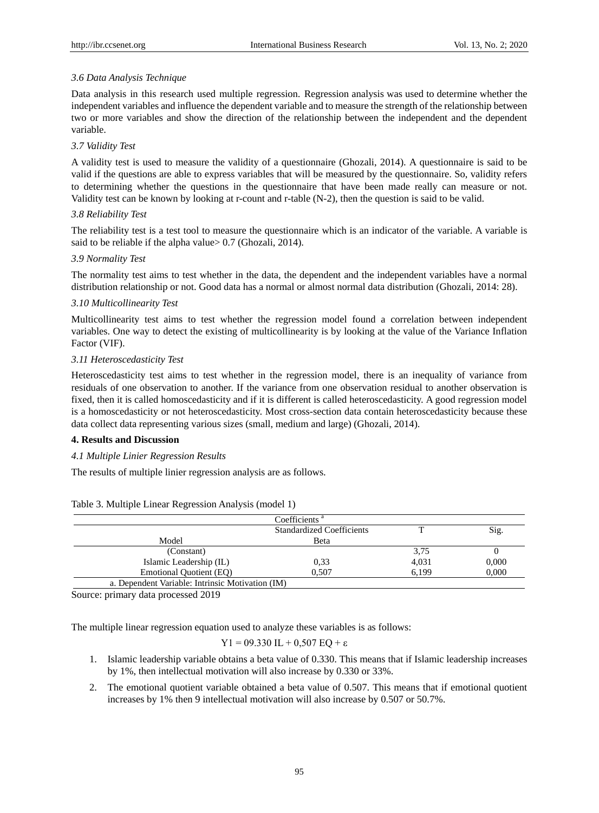# *3.6 Data Analysis Technique*

Data analysis in this research used multiple regression. Regression analysis was used to determine whether the independent variables and influence the dependent variable and to measure the strength of the relationship between two or more variables and show the direction of the relationship between the independent and the dependent variable.

# *3.7 Validity Test*

A validity test is used to measure the validity of a questionnaire (Ghozali, 2014). A questionnaire is said to be valid if the questions are able to express variables that will be measured by the questionnaire. So, validity refers to determining whether the questions in the questionnaire that have been made really can measure or not. Validity test can be known by looking at r-count and r-table (N-2), then the question is said to be valid.

# *3.8 Reliability Test*

The reliability test is a test tool to measure the questionnaire which is an indicator of the variable. A variable is said to be reliable if the alpha value > 0.7 (Ghozali, 2014).

#### *3.9 Normality Test*

The normality test aims to test whether in the data, the dependent and the independent variables have a normal distribution relationship or not. Good data has a normal or almost normal data distribution (Ghozali, 2014: 28).

#### *3.10 Multicollinearity Test*

Multicollinearity test aims to test whether the regression model found a correlation between independent variables. One way to detect the existing of multicollinearity is by looking at the value of the Variance Inflation Factor (VIF).

# *3.11 Heteroscedasticity Test*

Heteroscedasticity test aims to test whether in the regression model, there is an inequality of variance from residuals of one observation to another. If the variance from one observation residual to another observation is fixed, then it is called homoscedasticity and if it is different is called heteroscedasticity. A good regression model is a homoscedasticity or not heteroscedasticity. Most cross-section data contain heteroscedasticity because these data collect data representing various sizes (small, medium and large) (Ghozali, 2014).

# **4. Results and Discussion**

#### *4.1 Multiple Linier Regression Results*

The results of multiple linier regression analysis are as follows.

|                                                  | Coefficients <sup>a</sup>        |       |       |
|--------------------------------------------------|----------------------------------|-------|-------|
|                                                  | <b>Standardized Coefficients</b> |       | Sig.  |
| Model                                            | Beta                             |       |       |
| (Constant)                                       |                                  | 3,75  |       |
| Islamic Leadership (IL)                          | 0,33                             | 4,031 | 0,000 |
| Emotional Quotient (EQ)                          | 0.507                            | 6.199 | 0,000 |
| a. Dependent Variable: Intrinsic Motivation (IM) |                                  |       |       |

Table 3. Multiple Linear Regression Analysis (model 1)

Source: primary data processed 2019

The multiple linear regression equation used to analyze these variables is as follows:

$$
Y1 = 09.330
$$
 IL + 0,507 EQ +  $\epsilon$ 

- 1. Islamic leadership variable obtains a beta value of 0.330. This means that if Islamic leadership increases by 1%, then intellectual motivation will also increase by 0.330 or 33%.
- 2. The emotional quotient variable obtained a beta value of 0.507. This means that if emotional quotient increases by 1% then 9 intellectual motivation will also increase by 0.507 or 50.7%.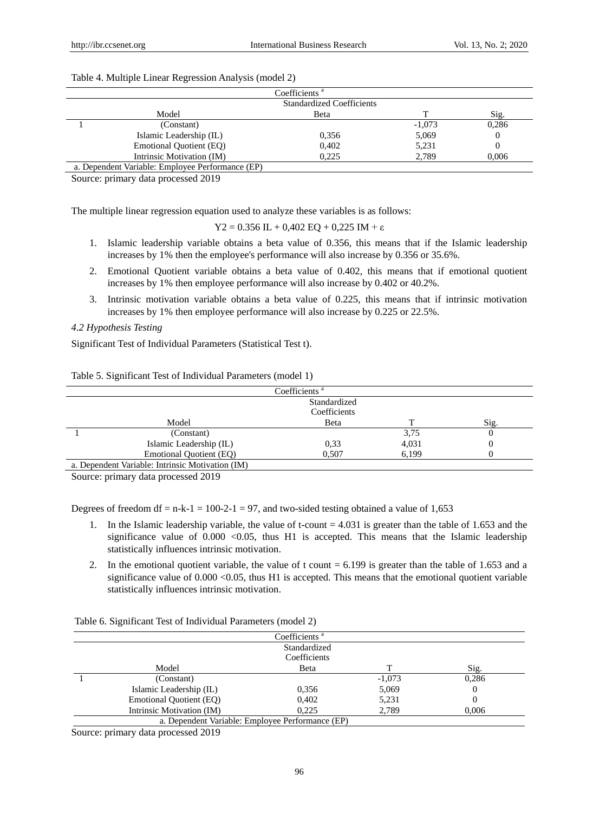|  | Table 4. Multiple Linear Regression Analysis (model 2) |  |
|--|--------------------------------------------------------|--|
|  |                                                        |  |

| Coefficients <sup>a</sup>        |                                                  |              |          |       |
|----------------------------------|--------------------------------------------------|--------------|----------|-------|
| <b>Standardized Coefficients</b> |                                                  |              |          |       |
|                                  | Model                                            | <b>B</b> eta |          | Sig.  |
|                                  | (Constant)                                       |              | $-1,073$ | 0,286 |
|                                  | Islamic Leadership (IL)                          | 0.356        | 5,069    |       |
|                                  | Emotional Quotient (EQ)                          | 0,402        | 5,231    |       |
|                                  | Intrinsic Motivation (IM)                        | 0.225        | 2.789    | 0.006 |
|                                  | a. Dependent Variable: Employee Performance (EP) |              |          |       |

Source: primary data processed 2019

The multiple linear regression equation used to analyze these variables is as follows:

Y2 = 0.356 IL + 0,402 EQ + 0,225 IM +  $\varepsilon$ 

- 1. Islamic leadership variable obtains a beta value of 0.356, this means that if the Islamic leadership increases by 1% then the employee's performance will also increase by 0.356 or 35.6%.
- 2. Emotional Quotient variable obtains a beta value of 0.402, this means that if emotional quotient increases by 1% then employee performance will also increase by 0.402 or 40.2%.
- 3. Intrinsic motivation variable obtains a beta value of 0.225, this means that if intrinsic motivation increases by 1% then employee performance will also increase by 0.225 or 22.5%.

## *4.2 Hypothesis Testing*

Significant Test of Individual Parameters (Statistical Test t).

| Coefficients <sup>a</sup>    |                                                  |       |       |      |  |
|------------------------------|--------------------------------------------------|-------|-------|------|--|
| Standardized<br>Coefficients |                                                  |       |       |      |  |
|                              | Model                                            | Beta  |       | Sig. |  |
|                              | (Constant)                                       |       | 3,75  | U    |  |
|                              | Islamic Leadership (IL)                          | 0.33  | 4,031 | O    |  |
|                              | Emotional Quotient (EQ)                          | 0.507 | 6.199 |      |  |
|                              | a. Dependent Variable: Intrinsic Motivation (IM) |       |       |      |  |

Table 5. Significant Test of Individual Parameters (model 1)

Source: primary data processed 2019

Degrees of freedom df = n-k-1 = 100-2-1 = 97, and two-sided testing obtained a value of 1,653

- 1. In the Islamic leadership variable, the value of t-count = 4.031 is greater than the table of 1.653 and the significance value of  $0.000 < 0.05$ , thus H1 is accepted. This means that the Islamic leadership statistically influences intrinsic motivation.
- 2. In the emotional quotient variable, the value of t count = 6.199 is greater than the table of 1.653 and a significance value of  $0.000 < 0.05$ , thus H1 is accepted. This means that the emotional quotient variable statistically influences intrinsic motivation.

| Coefficients <sup>a</sup>                        |          |          |              |                                |  |  |
|--------------------------------------------------|----------|----------|--------------|--------------------------------|--|--|
| Standardized                                     |          |          |              |                                |  |  |
|                                                  |          |          | Coefficients |                                |  |  |
|                                                  | Sig.     |          | Beta         | Model                          |  |  |
|                                                  | 0,286    | $-1,073$ |              | (Constant)                     |  |  |
|                                                  | $\theta$ | 5,069    | 0,356        | Islamic Leadership (IL)        |  |  |
|                                                  |          | 5,231    | 0,402        | <b>Emotional Quotient (EQ)</b> |  |  |
|                                                  | 0.006    | 2,789    | 0.225        | Intrinsic Motivation (IM)      |  |  |
| a. Dependent Variable: Employee Performance (EP) |          |          |              |                                |  |  |
|                                                  |          |          |              |                                |  |  |

Table 6. Significant Test of Individual Parameters (model 2)

Source: primary data processed 2019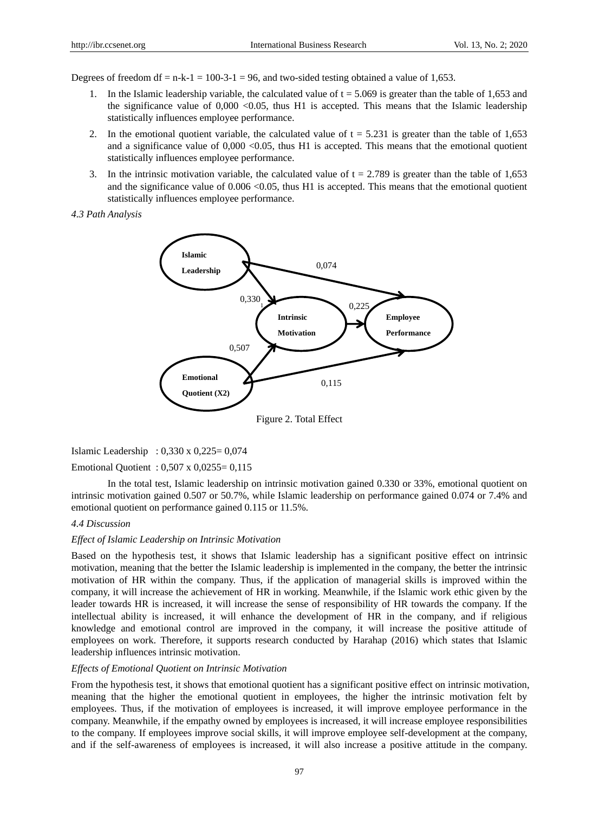Degrees of freedom df =  $n-k-1 = 100-3-1 = 96$ , and two-sided testing obtained a value of 1,653.

- 1. In the Islamic leadership variable, the calculated value of  $t = 5.069$  is greater than the table of 1,653 and the significance value of  $0,000 < 0.05$ , thus H1 is accepted. This means that the Islamic leadership statistically influences employee performance.
- 2. In the emotional quotient variable, the calculated value of  $t = 5.231$  is greater than the table of 1,653 and a significance value of  $0,000 < 0.05$ , thus H1 is accepted. This means that the emotional quotient statistically influences employee performance.
- 3. In the intrinsic motivation variable, the calculated value of  $t = 2.789$  is greater than the table of 1,653 and the significance value of  $0.006 \le 0.05$ , thus H1 is accepted. This means that the emotional quotient statistically influences employee performance.





# Islamic Leadership : 0,330 x 0,225= 0,074 Emotional Quotient : 0,507 x 0,0255= 0,115

In the total test, Islamic leadership on intrinsic motivation gained 0.330 or 33%, emotional quotient on intrinsic motivation gained 0.507 or 50.7%, while Islamic leadership on performance gained 0.074 or 7.4% and emotional quotient on performance gained 0.115 or 11.5%.

# *4.4 Discussion*

# *Effect of Islamic Leadership on Intrinsic Motivation*

Based on the hypothesis test, it shows that Islamic leadership has a significant positive effect on intrinsic motivation, meaning that the better the Islamic leadership is implemented in the company, the better the intrinsic motivation of HR within the company. Thus, if the application of managerial skills is improved within the company, it will increase the achievement of HR in working. Meanwhile, if the Islamic work ethic given by the leader towards HR is increased, it will increase the sense of responsibility of HR towards the company. If the intellectual ability is increased, it will enhance the development of HR in the company, and if religious knowledge and emotional control are improved in the company, it will increase the positive attitude of employees on work. Therefore, it supports research conducted by Harahap (2016) which states that Islamic leadership influences intrinsic motivation.

#### *Effects of Emotional Quotient on Intrinsic Motivation*

From the hypothesis test, it shows that emotional quotient has a significant positive effect on intrinsic motivation, meaning that the higher the emotional quotient in employees, the higher the intrinsic motivation felt by employees. Thus, if the motivation of employees is increased, it will improve employee performance in the company. Meanwhile, if the empathy owned by employees is increased, it will increase employee responsibilities to the company. If employees improve social skills, it will improve employee self-development at the company, and if the self-awareness of employees is increased, it will also increase a positive attitude in the company.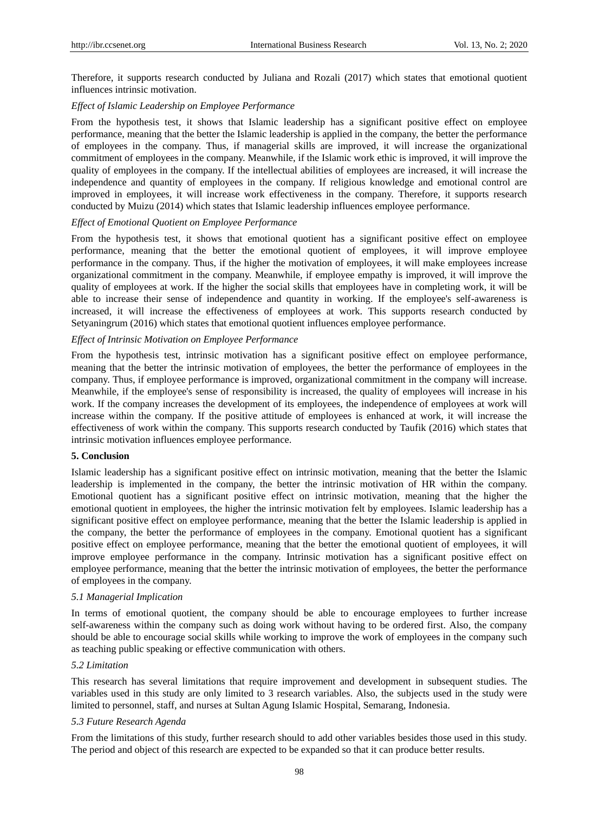Therefore, it supports research conducted by Juliana and Rozali (2017) which states that emotional quotient influences intrinsic motivation.

## *Effect of Islamic Leadership on Employee Performance*

From the hypothesis test, it shows that Islamic leadership has a significant positive effect on employee performance, meaning that the better the Islamic leadership is applied in the company, the better the performance of employees in the company. Thus, if managerial skills are improved, it will increase the organizational commitment of employees in the company. Meanwhile, if the Islamic work ethic is improved, it will improve the quality of employees in the company. If the intellectual abilities of employees are increased, it will increase the independence and quantity of employees in the company. If religious knowledge and emotional control are improved in employees, it will increase work effectiveness in the company. Therefore, it supports research conducted by Muizu (2014) which states that Islamic leadership influences employee performance.

### *Effect of Emotional Quotient on Employee Performance*

From the hypothesis test, it shows that emotional quotient has a significant positive effect on employee performance, meaning that the better the emotional quotient of employees, it will improve employee performance in the company. Thus, if the higher the motivation of employees, it will make employees increase organizational commitment in the company. Meanwhile, if employee empathy is improved, it will improve the quality of employees at work. If the higher the social skills that employees have in completing work, it will be able to increase their sense of independence and quantity in working. If the employee's self-awareness is increased, it will increase the effectiveness of employees at work. This supports research conducted by Setyaningrum (2016) which states that emotional quotient influences employee performance.

# *Effect of Intrinsic Motivation on Employee Performance*

From the hypothesis test, intrinsic motivation has a significant positive effect on employee performance, meaning that the better the intrinsic motivation of employees, the better the performance of employees in the company. Thus, if employee performance is improved, organizational commitment in the company will increase. Meanwhile, if the employee's sense of responsibility is increased, the quality of employees will increase in his work. If the company increases the development of its employees, the independence of employees at work will increase within the company. If the positive attitude of employees is enhanced at work, it will increase the effectiveness of work within the company. This supports research conducted by Taufik (2016) which states that intrinsic motivation influences employee performance.

# **5. Conclusion**

Islamic leadership has a significant positive effect on intrinsic motivation, meaning that the better the Islamic leadership is implemented in the company, the better the intrinsic motivation of HR within the company. Emotional quotient has a significant positive effect on intrinsic motivation, meaning that the higher the emotional quotient in employees, the higher the intrinsic motivation felt by employees. Islamic leadership has a significant positive effect on employee performance, meaning that the better the Islamic leadership is applied in the company, the better the performance of employees in the company. Emotional quotient has a significant positive effect on employee performance, meaning that the better the emotional quotient of employees, it will improve employee performance in the company. Intrinsic motivation has a significant positive effect on employee performance, meaning that the better the intrinsic motivation of employees, the better the performance of employees in the company.

# *5.1 Managerial Implication*

In terms of emotional quotient, the company should be able to encourage employees to further increase self-awareness within the company such as doing work without having to be ordered first. Also, the company should be able to encourage social skills while working to improve the work of employees in the company such as teaching public speaking or effective communication with others.

#### *5.2 Limitation*

This research has several limitations that require improvement and development in subsequent studies. The variables used in this study are only limited to 3 research variables. Also, the subjects used in the study were limited to personnel, staff, and nurses at Sultan Agung Islamic Hospital, Semarang, Indonesia.

### *5.3 Future Research Agenda*

From the limitations of this study, further research should to add other variables besides those used in this study. The period and object of this research are expected to be expanded so that it can produce better results.